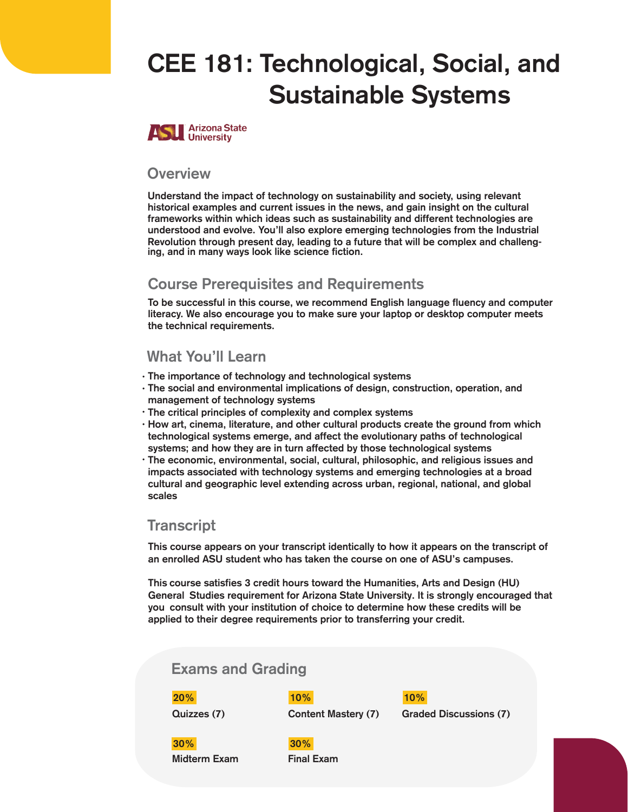# CEE 181: Technological, Social, and Sustainable Systems



#### **Overview**

Understand the impact of technology on sustainability and society, using relevant historical examples and current issues in the news, and gain insight on the cultural frameworks within which ideas such as sustainability and different technologies are understood and evolve. You'll also explore emerging technologies from the Industrial Revolution through present day, leading to a future that will be complex and challenging, and in many ways look like science fiction.

#### Course Prerequis**I**tes and Requirements

To be successful in this course, we recommend English language fluency and computer literacy. We also encourage you to make sure your laptop or desktop computer meets the technical requirements.

### What You'll Learn

- The importance of technology and technological systems •
- The social and environmental implications of design, construction, operation, and management of technology systems
- The critical principles of complexity and complex systems •
- $\cdot$  How art, cinema, literature, and other cultural products create the ground from which technological systems emerge, and affect the evolutionary paths of technological systems; and how they are in turn affected by those technological systems
- $\cdot$  The economic, environmental, social, cultural, philosophic, and religious issues and impacts associated with technology systems and emerging technologies at a broad cultural and geographic level extending across urban, regional, national, and global scales

#### **Transcript**

This course appears on your transcript identically to how it appears on the transcript of an enrolled ASU student who has taken the course on one of ASU's campuses.

This course satisfies 3 credit hours toward the Humanities, Arts and Design (HU) General Studies requirement for Arizona State University. It is strongly encouraged that you consult with your institution of choice to determine how these credits will be applied to their degree requirements prior to transferring your credit.

## Exams and Grading Quizzes (7) Content Mastery (7) Midterm Exam Final Exam 20% 10% 30% **30**% **Graded Discussions** (7) 10%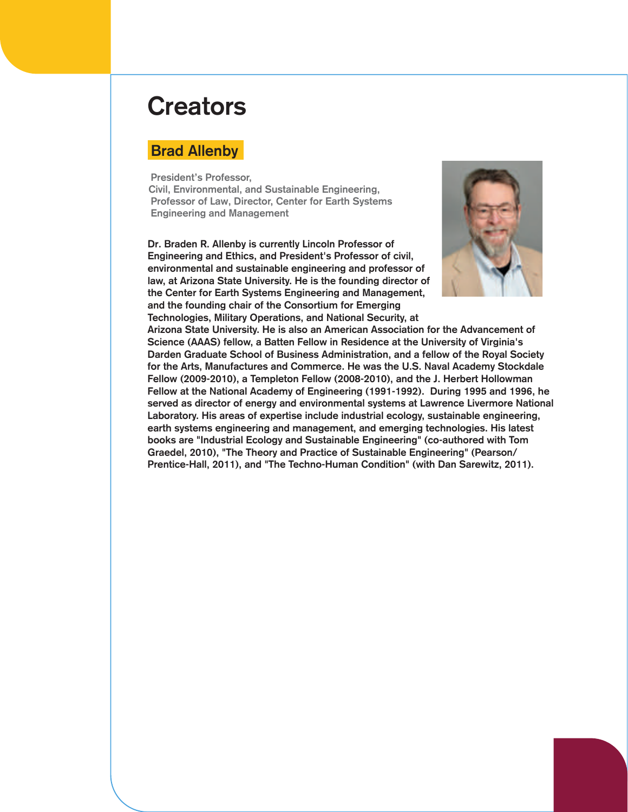## **Creators**

### Brad Allenby

President's Professor, Civil, Environmental, and Sustainable Engineering, Professor of Law, Director, Center for Earth Systems Engineering and Management

Dr. Braden R. Allenby is currently Lincoln Professor of Engineering and Ethics, and President's Professor of civil, environmental and sustainable engineering and professor of law, at Arizona State University. He is the founding director of the Center for Earth Systems Engineering and Management, and the founding chair of the Consortium for Emerging



Technologies, Military Operations, and National Security, at Arizona State University. He is also an American Association for the Advancement of Science (AAAS) fellow, a Batten Fellow in Residence at the University of Virginia's Darden Graduate School of Business Administration, and a fellow of the Royal Society for the Arts, Manufactures and Commerce. He was the U.S. Naval Academy Stockdale Fellow (2009-2010), a Templeton Fellow (2008-2010), and the J. Herbert Hollowman Fellow at the National Academy of Engineering (1991-1992). During 1995 and 1996, he served as director of energy and environmental systems at Lawrence Livermore National Laboratory. His areas of expertise include industrial ecology, sustainable engineering, earth systems engineering and management, and emerging technologies. His latest books are "Industrial Ecology and Sustainable Engineering" (co-authored with Tom Graedel, 2010), "The Theory and Practice of Sustainable Engineering" (Pearson/ Prentice-Hall, 2011), and "The Techno-Human Condition" (with Dan Sarewitz, 2011).